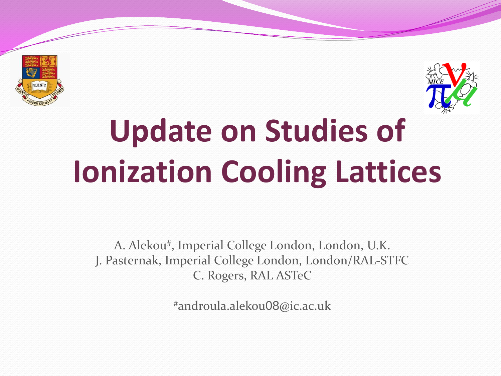



# **Update on Studies of Ionization Cooling Lattices**

A. Alekou# , Imperial College London, London, U.K. J. Pasternak, Imperial College London, London/RAL-STFC C. Rogers, RAL ASTeC

#androula.alekou08@ic.ac.uk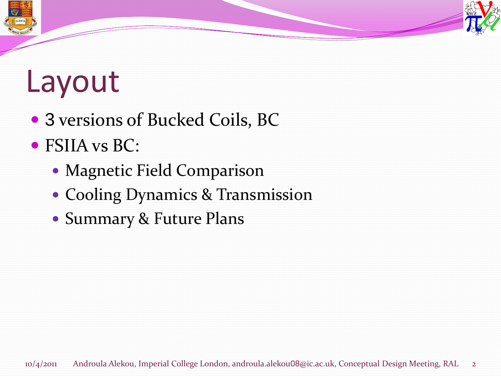## Layout

- 3 versions of Bucked Coils, BC
- FSIIA vs BC:
	- Magnetic Field Comparison
	- Cooling Dynamics & Transmission
	- Summary & Future Plans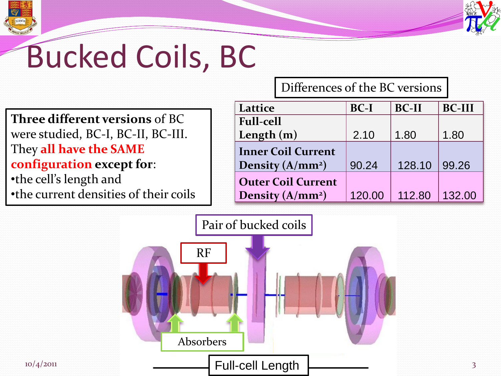



## Bucked Coils, BC

**Three different versions** of BC were studied, BC-I, BC-II, BC-III. They **all have the SAME configuration except for**: •the cell's length and •the current densities of their coils Differences of the BC versions

| Lattice                      | $BC-I$ | <b>BC-II</b> | <b>BC-III</b> |
|------------------------------|--------|--------------|---------------|
| <b>Full-cell</b>             |        |              |               |
| Length $(m)$                 | 2.10   | 1.80         | 1.80          |
| <b>Inner Coil Current</b>    |        |              |               |
| Density (A/mm <sup>2</sup> ) | 90.24  | 128.10       | 99.26         |
| <b>Outer Coil Current</b>    |        |              |               |
| Density (A/mm <sup>2</sup> ) | 120.00 | 112.80       | 132.00        |

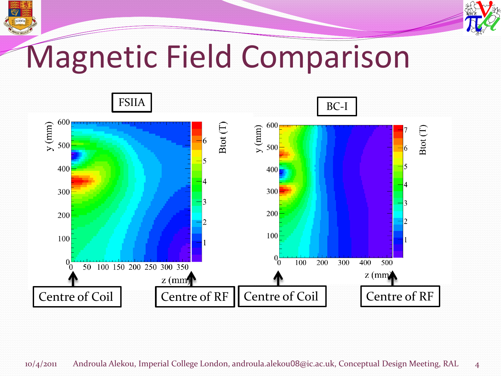

### Magnetic Field Comparison

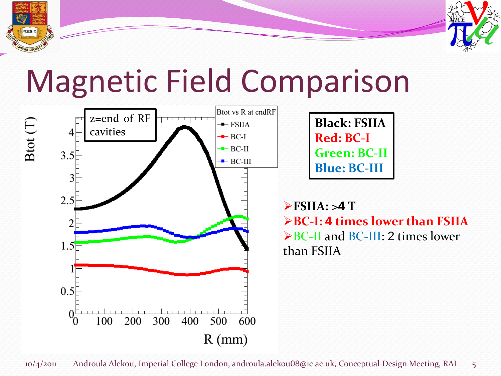

#### Magnetic Field Comparison



SCIENTIA

**FSIIA: >4 T BC-I: 4 times lower than FSIIA**  $\triangleright$  BC-II and BC-III: 2 times lower than FSIIA

**Black: FSIIA**

**Green: BC-II**

**Blue: BC-III**

**Red: BC-I**

10/4/2011 Androula Alekou, Imperial College London, androula.alekou08@ic.ac.uk, Conceptual Design Meeting, RAL 5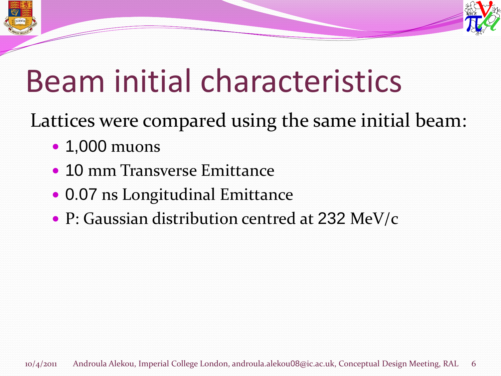



## Beam initial characteristics

Lattices were compared using the same initial beam:

- 1,000 muons
- 10 mm Transverse Emittance
- 0.07 ns Longitudinal Emittance
- P: Gaussian distribution centred at 232 MeV/c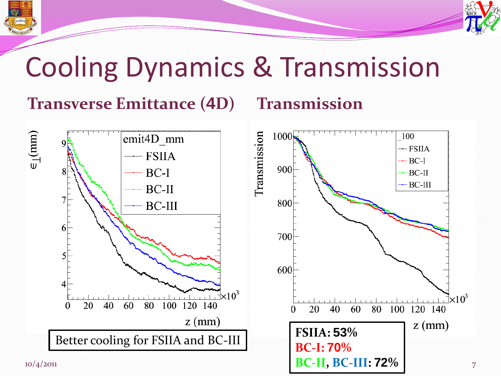



#### Cooling Dynamics & Transmission

#### **Transverse Emittance (4D) Transmission**

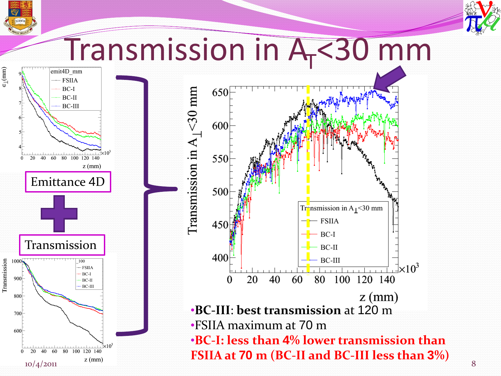

# Transmission in A<sub>T</sub><30 mm